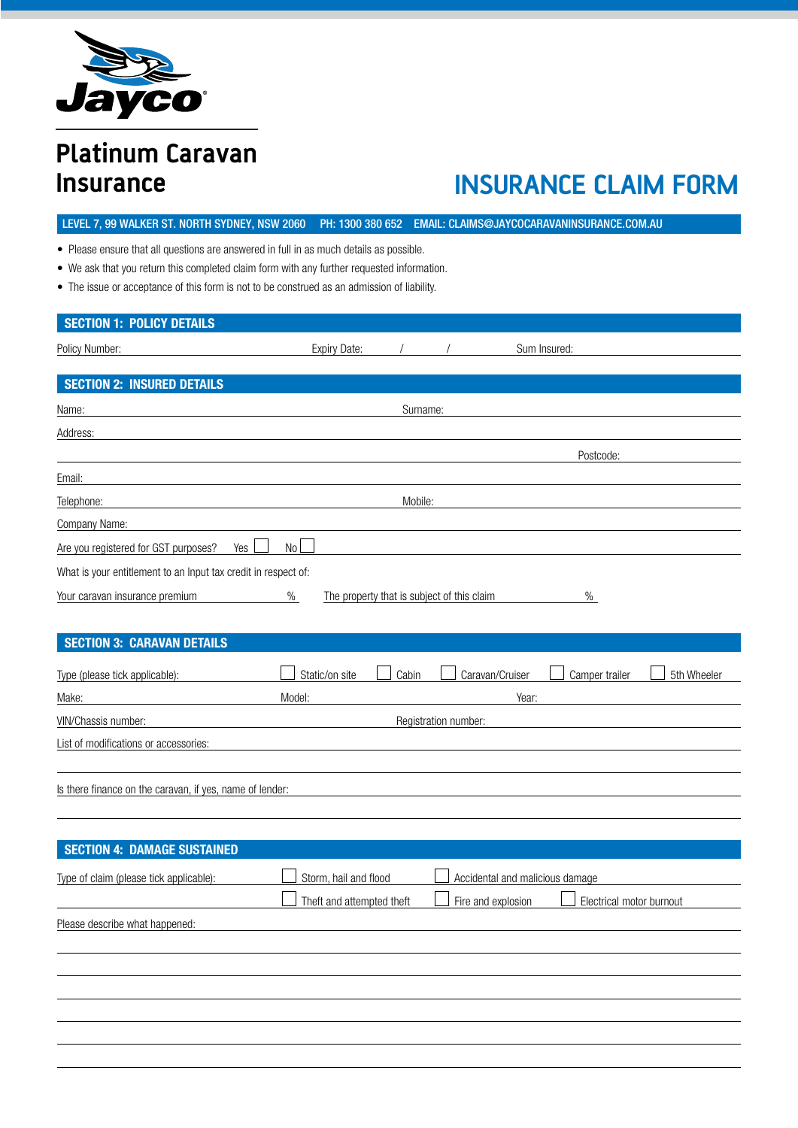

# **Platinum Caravan Insurance**

# **INSURANCE CLAIM FORM**

• Please ensure that all questions are answered in full in as much details as possible.

LEVEL 7, 99 WALKER ST. NORTH SYDNEY, NSW 2060 PH: 1300 380 652 EMAIL: CLAIMS@JAYCOCARAVANINSURANCE.COM.AU

- We ask that you return this completed claim form with any further requested information.
- The issue or acceptance of this form is not to be construed as an admission of liability.

| <b>SECTION 1: POLICY DETAILS</b>                               |                           |                                            |                      |                                                |             |
|----------------------------------------------------------------|---------------------------|--------------------------------------------|----------------------|------------------------------------------------|-------------|
| Policy Number:                                                 | <b>Expiry Date:</b>       |                                            |                      | Sum Insured:                                   |             |
|                                                                |                           |                                            |                      |                                                |             |
| <b>SECTION 2: INSURED DETAILS</b>                              |                           |                                            |                      |                                                |             |
| Name:                                                          |                           | Surname:                                   |                      |                                                |             |
| Address:                                                       |                           |                                            |                      |                                                |             |
|                                                                |                           |                                            |                      | Postcode:                                      |             |
| Email:                                                         |                           |                                            |                      |                                                |             |
| Telephone:                                                     |                           | Mobile:                                    |                      |                                                |             |
| Company Name:                                                  |                           |                                            |                      |                                                |             |
| Yes  <br>Are you registered for GST purposes?                  | $No$ $\Box$               |                                            |                      |                                                |             |
| What is your entitlement to an Input tax credit in respect of: |                           |                                            |                      |                                                |             |
| Your caravan insurance premium                                 | $\%$                      | The property that is subject of this claim |                      | $\%$                                           |             |
|                                                                |                           |                                            |                      |                                                |             |
| <b>SECTION 3: CARAVAN DETAILS</b>                              |                           |                                            |                      |                                                |             |
| Type (please tick applicable):                                 | Static/on site            | Cabin                                      |                      | Caravan/Cruiser<br>Camper trailer              | 5th Wheeler |
| Make:                                                          | Model:                    |                                            |                      | Year:                                          |             |
| VIN/Chassis number:                                            |                           |                                            | Registration number: |                                                |             |
| List of modifications or accessories:                          |                           |                                            |                      |                                                |             |
|                                                                |                           |                                            |                      |                                                |             |
| Is there finance on the caravan, if yes, name of lender:       |                           |                                            |                      |                                                |             |
|                                                                |                           |                                            |                      |                                                |             |
|                                                                |                           |                                            |                      |                                                |             |
| <b>SECTION 4: DAMAGE SUSTAINED</b>                             |                           |                                            |                      |                                                |             |
| Type of claim (please tick applicable):                        | Storm, hail and flood     |                                            |                      | Accidental and malicious damage                |             |
|                                                                | Theft and attempted theft |                                            |                      | Fire and explosion<br>Electrical motor burnout |             |
| Please describe what happened:                                 |                           |                                            |                      |                                                |             |
|                                                                |                           |                                            |                      |                                                |             |
|                                                                |                           |                                            |                      |                                                |             |
|                                                                |                           |                                            |                      |                                                |             |
|                                                                |                           |                                            |                      |                                                |             |
|                                                                |                           |                                            |                      |                                                |             |
|                                                                |                           |                                            |                      |                                                |             |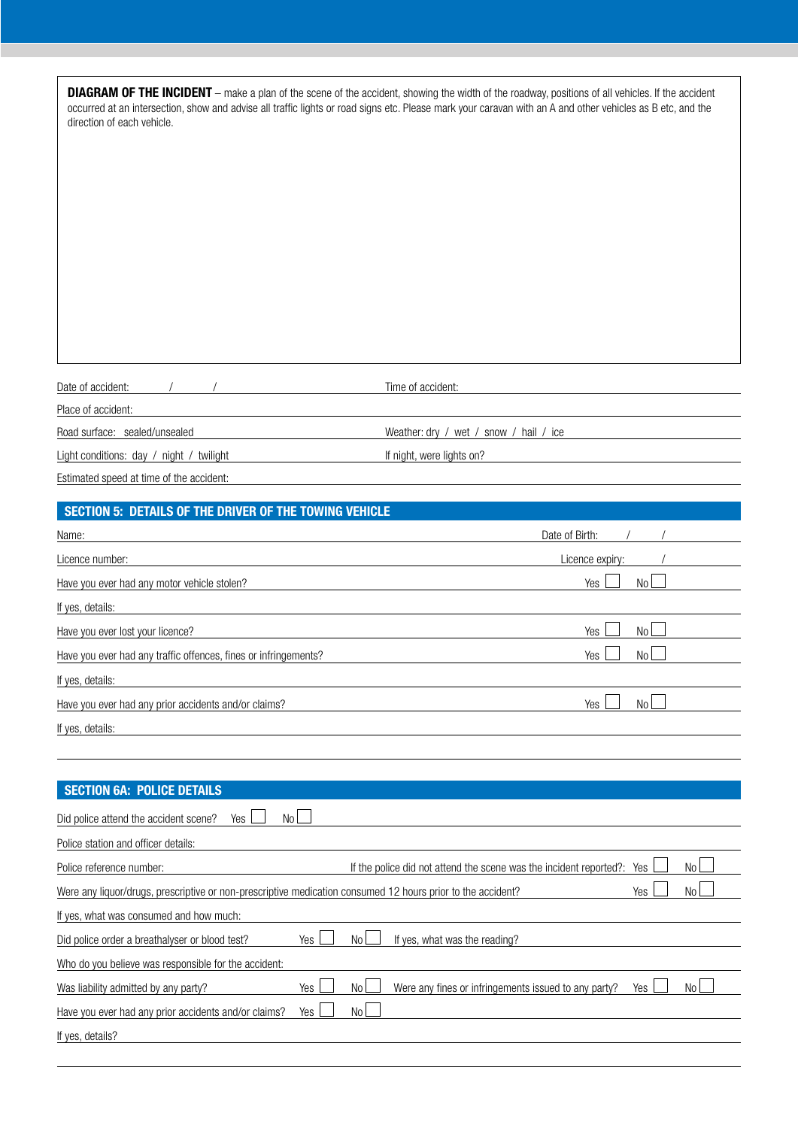| direction of each vehicle.                                                                                  | <b>DIAGRAM OF THE INCIDENT</b> – make a plan of the scene of the accident, showing the width of the roadway, positions of all vehicles. If the accident<br>occurred at an intersection, show and advise all traffic lights or road signs etc. Please mark your caravan with an A and other vehicles as B etc, and the |
|-------------------------------------------------------------------------------------------------------------|-----------------------------------------------------------------------------------------------------------------------------------------------------------------------------------------------------------------------------------------------------------------------------------------------------------------------|
| Date of accident:                                                                                           | Time of accident:                                                                                                                                                                                                                                                                                                     |
| Place of accident:                                                                                          |                                                                                                                                                                                                                                                                                                                       |
| Road surface: sealed/unsealed                                                                               | Weather: dry / wet / snow / hail / ice                                                                                                                                                                                                                                                                                |
| Light conditions: day / night / twilight                                                                    | If night, were lights on?                                                                                                                                                                                                                                                                                             |
| Estimated speed at time of the accident:                                                                    |                                                                                                                                                                                                                                                                                                                       |
| <b>SECTION 5: DETAILS OF THE DRIVER OF THE TOWING VEHICLE</b>                                               |                                                                                                                                                                                                                                                                                                                       |
| Name:                                                                                                       | Date of Birth:                                                                                                                                                                                                                                                                                                        |
| Licence number:                                                                                             | Licence expiry:                                                                                                                                                                                                                                                                                                       |
| Have you ever had any motor vehicle stolen?                                                                 | N <sub>o</sub><br>Yes                                                                                                                                                                                                                                                                                                 |
| If yes, details:                                                                                            |                                                                                                                                                                                                                                                                                                                       |
| Have you ever lost your licence?                                                                            | No<br>Yes                                                                                                                                                                                                                                                                                                             |
| Have you ever had any traffic offences, fines or infringements?                                             | N <sub>o</sub><br>Yes                                                                                                                                                                                                                                                                                                 |
| If yes, details:                                                                                            |                                                                                                                                                                                                                                                                                                                       |
| Have you ever had any prior accidents and/or claims?                                                        | No<br>Yes                                                                                                                                                                                                                                                                                                             |
| If yes, details:                                                                                            |                                                                                                                                                                                                                                                                                                                       |
|                                                                                                             |                                                                                                                                                                                                                                                                                                                       |
|                                                                                                             |                                                                                                                                                                                                                                                                                                                       |
| <b>SECTION 6A: POLICE DETAILS</b>                                                                           |                                                                                                                                                                                                                                                                                                                       |
| No<br>Did police attend the accident scene?<br>Yes                                                          |                                                                                                                                                                                                                                                                                                                       |
| Police station and officer details:                                                                         |                                                                                                                                                                                                                                                                                                                       |
| Police reference number:                                                                                    | No l<br>If the police did not attend the scene was the incident reported?: Yes                                                                                                                                                                                                                                        |
| Were any liquor/drugs, prescriptive or non-prescriptive medication consumed 12 hours prior to the accident? | Yes<br>No l                                                                                                                                                                                                                                                                                                           |
|                                                                                                             |                                                                                                                                                                                                                                                                                                                       |

| If yes, what was consumed and how much:              |       |                |                                                      |            |      |
|------------------------------------------------------|-------|----------------|------------------------------------------------------|------------|------|
| Did police order a breathalyser or blood test?       | Yes L | N <sub>0</sub> | If yes, what was the reading?                        |            |      |
| Who do you believe was responsible for the accident: |       |                |                                                      |            |      |
| Was liability admitted by any party?                 | Yes   | N٥             | Were any fines or infringements issued to any party? | <b>Yes</b> | No l |
| Have you ever had any prior accidents and/or claims? | Yes   | N <sub>0</sub> |                                                      |            |      |
| If yes, details?                                     |       |                |                                                      |            |      |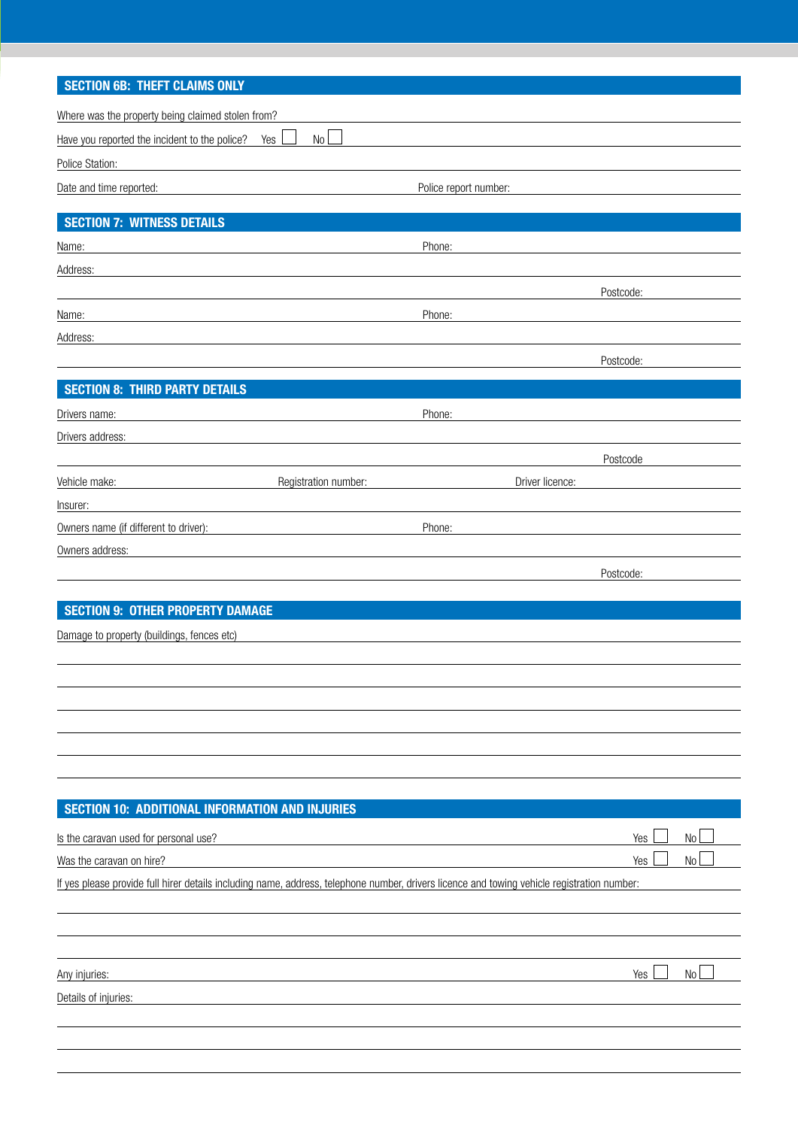## **SECTION 6B: THEFT CLAIMS ONLY**

| Where was the property being claimed stolen from?        |      |                       |
|----------------------------------------------------------|------|-----------------------|
| Have you reported the incident to the police? Yes $\Box$ | No L |                       |
| Police Station:                                          |      |                       |
| Date and time reported:                                  |      | Police report number: |

## **SECTION 7: WITNESS DETAILS**

| Name:    | Phone: |           |
|----------|--------|-----------|
| Address: |        |           |
|          |        | Postcode: |
| Name:    | Phone: |           |
| Address: |        |           |
|          |        |           |

| Postcode: |  |
|-----------|--|
|           |  |

| <b>SECTION 8: THIRD PARTY DETAILS</b> |                      |        |                 |           |
|---------------------------------------|----------------------|--------|-----------------|-----------|
| Drivers name:                         |                      | Phone: |                 |           |
| Drivers address:                      |                      |        |                 |           |
|                                       |                      |        |                 | Postcode  |
| Vehicle make:                         | Registration number: |        | Driver licence: |           |
| Insurer:                              |                      |        |                 |           |
| Owners name (if different to driver): |                      | Phone: |                 |           |
| Owners address:                       |                      |        |                 |           |
|                                       |                      |        |                 | Postcode: |

### **SECTION 9: OTHER PROPERTY DAMAGE**

Damage to property (buildings, fences etc)

#### **SECTION 10: ADDITIONAL INFORMATION AND INJURIES**

| Is the caravan used for personal use?                                                                                                       | Yes | N <sub>0</sub> |  |  |  |
|---------------------------------------------------------------------------------------------------------------------------------------------|-----|----------------|--|--|--|
| Was the caravan on hire?                                                                                                                    | Yes | N <sub>0</sub> |  |  |  |
| If yes please provide full hirer details including name, address, telephone number, drivers licence and towing vehicle registration number: |     |                |  |  |  |
|                                                                                                                                             |     |                |  |  |  |
|                                                                                                                                             |     |                |  |  |  |

Any injuries: Yes Note and the Month of the Month of the Month of the Month of the Month of the Month of the Mo

Details of injuries: